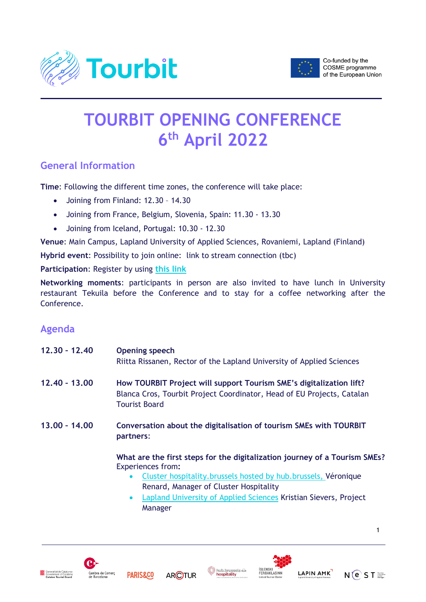



# **TOURBIT OPENING CONFERENCE 6 th April 2022**

# **General Information**

**Time**: Following the different time zones, the conference will take place:

- Joining from Finland: 12.30 14.30
- Joining from France, Belgium, Slovenia, Spain: 11.30 13.30
- Joining from Iceland, Portugal: 10.30 12.30

**Venue**: Main Campus, Lapland University of Applied Sciences, Rovaniemi, Lapland (Finland)

**Hybrid event**: Possibility to join online: link to stream connection (tbc)

**Participation**: Register by using **[this link](https://link.webropolsurveys.com/S/021515997D5A668F)**

**Networking moments**: participants in person are also invited to have lunch in University restaurant Tekuila before the Conference and to stay for a coffee networking after the Conference.

## **Agenda**

| $12.30 - 12.40$ | <b>Opening speech</b><br>Riitta Rissanen, Rector of the Lapland University of Applied Sciences                                                                                                                                    |
|-----------------|-----------------------------------------------------------------------------------------------------------------------------------------------------------------------------------------------------------------------------------|
| $12.40 - 13.00$ | How TOURBIT Project will support Tourism SME's digitalization lift?<br>Blanca Cros, Tourbit Project Coordinator, Head of EU Projects, Catalan<br><b>Tourist Board</b>                                                             |
| $13.00 - 14.00$ | Conversation about the digitalisation of tourism SMEs with TOURBIT<br>partners:                                                                                                                                                   |
|                 | What are the first steps for the digitalization journey of a Tourism SMEs?<br><b>Experiences from:</b><br>Cluster hospitality. brussels hosted by hub. brussels, Véronique<br>$\bullet$<br>Renard, Manager of Cluster Hospitality |

 [Lapland University of Applied Sciences](https://www.lapinamk.fi/en) Kristian Sievers, Project Manager













 $N(e)$  S T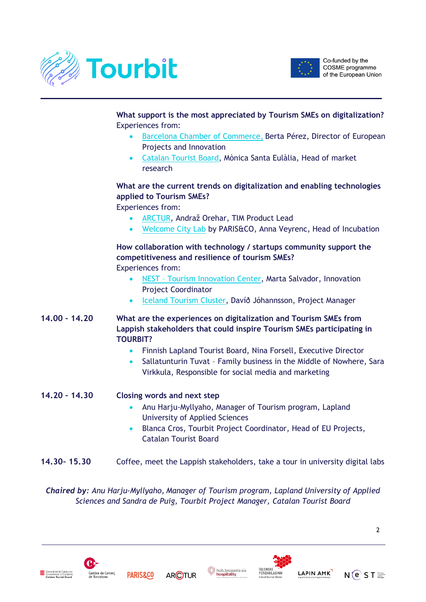



**What support is the most appreciated by Tourism SMEs on digitalization?** Experiences from:

- [Barcelona Chamber of Commerce,](https://www.cambrabcn.org/) Berta Pérez, Director of European Projects and Innovation
- Catalan [Tourist Board,](http://act.gencat.cat/?lang=en) Mònica Santa Eulàlia, Head of market research

#### **What are the current trends on digitalization and enabling technologies applied to Tourism SMEs?**

Experiences from:

- [ARCTUR,](https://www.arctur.si/) Andraž Orehar, TIM Product Lead
- [Welcome City Lab](https://welcomecitylab.parisandco.com/) by PARIS&CO, Anna Veyrenc, Head of Incubation

### **How collaboration with technology / startups community support the competitiveness and resilience of tourism SMEs?**

Experiences from:

- NEST [Tourism Innovation Center,](https://www.nestportugal.pt/) Marta Salvador, Innovation Project Coordinator
- [Iceland Tourism Cluster,](http://www.icelandtourism.is/en/home/) Davíð Jóhannsson, Project Manager
- **14.00 – 14.20 What are the experiences on digitalization and Tourism SMEs from Lappish stakeholders that could inspire Tourism SMEs participating in TOURBIT?**
	- Finnish Lapland Tourist Board, Nina Forsell, Executive Director
	- Sallatunturin Tuvat Family business in the Middle of Nowhere, Sara Virkkula, Responsible for social media and marketing

#### **14.20 – 14.30 Closing words and next step**

- Anu Harju-Myllyaho, Manager of Tourism program, Lapland University of Applied Sciences
- Blanca Cros, Tourbit Project Coordinator, Head of EU Projects, Catalan Tourist Board
- **14.30– 15.30** Coffee, meet the Lappish stakeholders, take a tour in university digital labs

*Chaired by: Anu Harju-Myllyaho, Manager of Tourism program, Lapland University of Applied Sciences and Sandra de Puig, Tourbit Project Manager, Catalan Tourist Board*





**ARCTUR** 





 $\mathcal{L}$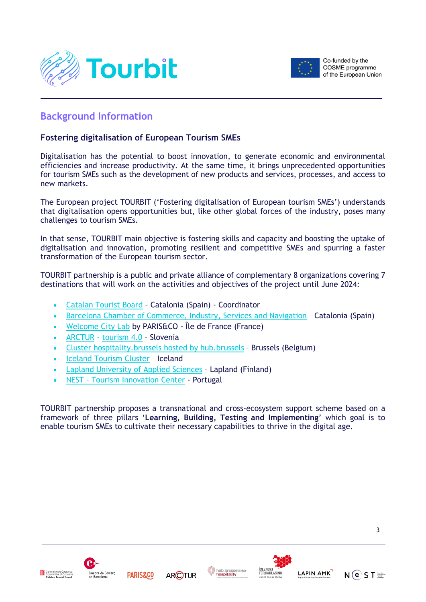



## **Background Information**

#### **Fostering digitalisation of European Tourism SMEs**

Digitalisation has the potential to boost innovation, to generate economic and environmental efficiencies and increase productivity. At the same time, it brings unprecedented opportunities for tourism SMEs such as the development of new products and services, processes, and access to new markets.

The European project TOURBIT ('Fostering digitalisation of European tourism SMEs') understands that digitalisation opens opportunities but, like other global forces of the industry, poses many challenges to tourism SMEs.

In that sense, TOURBIT main objective is fostering skills and capacity and boosting the uptake of digitalisation and innovation, promoting resilient and competitive SMEs and spurring a faster transformation of the European tourism sector.

TOURBIT partnership is a public and private alliance of complementary 8 organizations covering 7 destinations that will work on the activities and objectives of the project until June 2024:

- Catalan [Tourist Board](http://act.gencat.cat/?lang=en) Catalonia (Spain) Coordinator
- [Barcelona Chamber of Commerce, Industry, Services and Navigation](https://www.cambrabcn.org/) Catalonia (Spain)
- [Welcome City Lab](https://welcomecitylab.parisandco.com/) by PARIS&CO Île de France (France)
- [ARCTUR](https://www.arctur.si/) [tourism 4.0](https://tourism4-0.org/) Slovenia
- [Cluster hospitality.brussels hosted by hub.brussels](https://hospitality.brussels/) Brussels (Belgium)
- [Iceland Tourism Cluster](http://www.icelandtourism.is/en/home/) Iceland
- [Lapland University of Applied Sciences](https://www.lapinamk.fi/en) Lapland (Finland)
- NEST [Tourism Innovation Center](https://www.nestportugal.pt/) Portugal

TOURBIT partnership proposes a transnational and cross-ecosystem support scheme based on a framework of three pillars '**Learning, Building, Testing and Implementing**' which goal is to enable tourism SMEs to cultivate their necessary capabilities to thrive in the digital age.













3